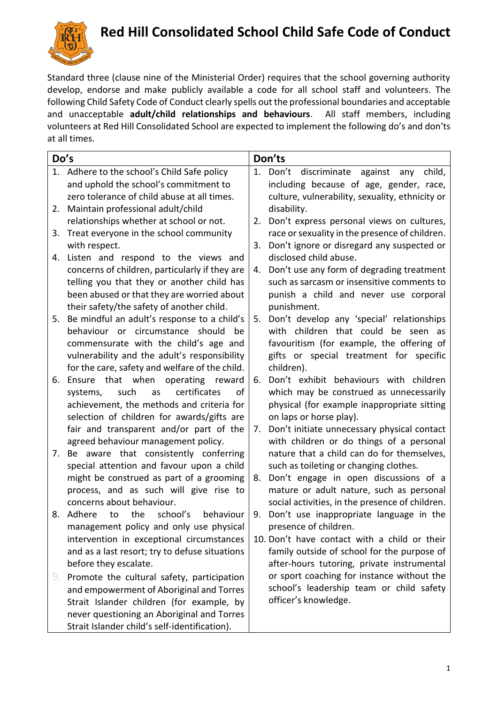

## **Red Hill Consolidated School Child Safe Code of Conduct**

Standard three (clause nine of the Ministerial Order) requires that the school governing authority develop, endorse and make publicly available a code for all school staff and volunteers. The following Child Safety Code of Conduct clearly spells out the professional boundaries and acceptable and unacceptable **adult/child relationships and behaviours**. All staff members, including volunteers at Red Hill Consolidated School are expected to implement the following do's and don'ts at all times.

| Do's |                                                 | Don'ts |                                                 |
|------|-------------------------------------------------|--------|-------------------------------------------------|
|      | 1. Adhere to the school's Child Safe policy     |        | 1. Don't discriminate against any child,        |
|      | and uphold the school's commitment to           |        | including because of age, gender, race,         |
|      | zero tolerance of child abuse at all times.     |        | culture, vulnerability, sexuality, ethnicity or |
| 2.   | Maintain professional adult/child               |        | disability.                                     |
|      | relationships whether at school or not.         | 2.     | Don't express personal views on cultures,       |
| 3.   | Treat everyone in the school community          |        | race or sexuality in the presence of children.  |
|      | with respect.                                   | 3.     | Don't ignore or disregard any suspected or      |
| 4.   | Listen and respond to the views and             |        | disclosed child abuse.                          |
|      | concerns of children, particularly if they are  |        | 4. Don't use any form of degrading treatment    |
|      | telling you that they or another child has      |        | such as sarcasm or insensitive comments to      |
|      | been abused or that they are worried about      |        | punish a child and never use corporal           |
|      | their safety/the safety of another child.       |        | punishment.                                     |
| 5.   | Be mindful an adult's response to a child's     | 5.     | Don't develop any 'special' relationships       |
|      | behaviour or circumstance should<br>be          |        | with children that could be seen<br>as.         |
|      | commensurate with the child's age and           |        | favouritism (for example, the offering of       |
|      | vulnerability and the adult's responsibility    |        | gifts or special treatment for specific         |
|      | for the care, safety and welfare of the child.  |        | children).                                      |
| 6.   | that when operating reward<br>Ensure            | 6.     | Don't exhibit behaviours with children          |
|      | certificates<br>such<br>οf<br>systems,<br>as    |        | which may be construed as unnecessarily         |
|      | achievement, the methods and criteria for       |        | physical (for example inappropriate sitting     |
|      | selection of children for awards/gifts are      |        | on laps or horse play).                         |
|      | fair and transparent and/or part of the         | 7.     | Don't initiate unnecessary physical contact     |
|      | agreed behaviour management policy.             |        | with children or do things of a personal        |
| 7.   | Be aware that consistently conferring           |        | nature that a child can do for themselves,      |
|      | special attention and favour upon a child       |        | such as toileting or changing clothes.          |
|      | might be construed as part of a grooming        | 8.     | Don't engage in open discussions of a           |
|      | process, and as such will give rise to          |        | mature or adult nature, such as personal        |
|      | concerns about behaviour.                       |        | social activities, in the presence of children. |
|      | 8. Adhere<br>the<br>school's<br>behaviour<br>to |        | 9. Don't use inappropriate language in the      |
|      | management policy and only use physical         |        | presence of children.                           |
|      | intervention in exceptional circumstances       |        | 10. Don't have contact with a child or their    |
|      | and as a last resort; try to defuse situations  |        | family outside of school for the purpose of     |
|      | before they escalate.                           |        | after-hours tutoring, private instrumental      |
| 9.   | Promote the cultural safety, participation      |        | or sport coaching for instance without the      |
|      | and empowerment of Aboriginal and Torres        |        | school's leadership team or child safety        |
|      | Strait Islander children (for example, by       |        | officer's knowledge.                            |
|      | never questioning an Aboriginal and Torres      |        |                                                 |
|      | Strait Islander child's self-identification).   |        |                                                 |